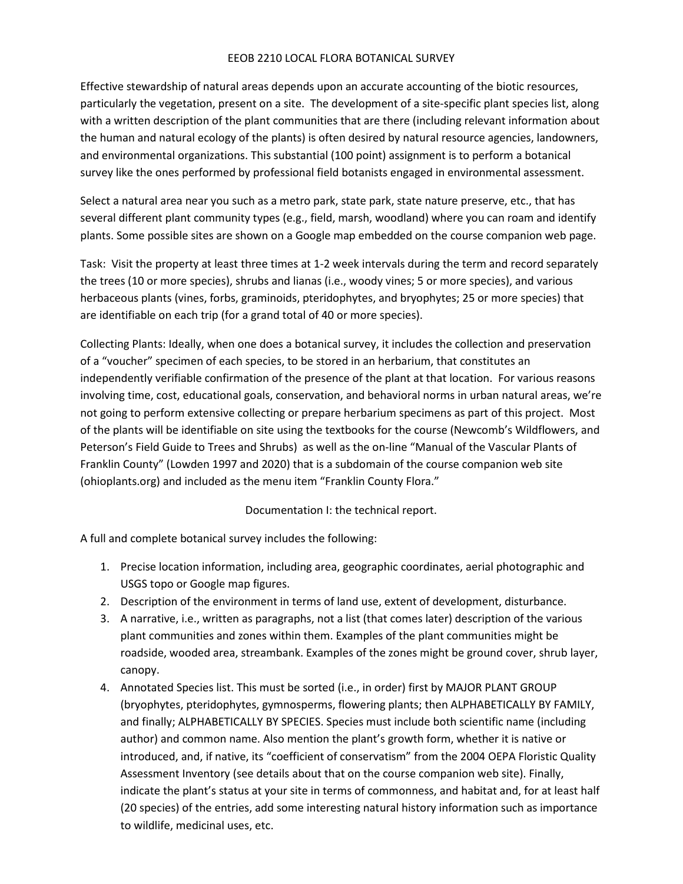## EEOB 2210 LOCAL FLORA BOTANICAL SURVEY

Effective stewardship of natural areas depends upon an accurate accounting of the biotic resources, particularly the vegetation, present on a site. The development of a site-specific plant species list, along with a written description of the plant communities that are there (including relevant information about the human and natural ecology of the plants) is often desired by natural resource agencies, landowners, and environmental organizations. This substantial (100 point) assignment is to perform a botanical survey like the ones performed by professional field botanists engaged in environmental assessment.

Select a natural area near you such as a metro park, state park, state nature preserve, etc., that has several different plant community types (e.g., field, marsh, woodland) where you can roam and identify plants. Some possible sites are shown on a Google map embedded on the course companion web page.

Task: Visit the property at least three times at 1-2 week intervals during the term and record separately the trees (10 or more species), shrubs and lianas (i.e., woody vines; 5 or more species), and various herbaceous plants (vines, forbs, graminoids, pteridophytes, and bryophytes; 25 or more species) that are identifiable on each trip (for a grand total of 40 or more species).

Collecting Plants: Ideally, when one does a botanical survey, it includes the collection and preservation of a "voucher" specimen of each species, to be stored in an herbarium, that constitutes an independently verifiable confirmation of the presence of the plant at that location. For various reasons involving time, cost, educational goals, conservation, and behavioral norms in urban natural areas, we're not going to perform extensive collecting or prepare herbarium specimens as part of this project. Most of the plants will be identifiable on site using the textbooks for the course (Newcomb's Wildflowers, and Peterson's Field Guide to Trees and Shrubs) as well as the on-line "Manual of the Vascular Plants of Franklin County" (Lowden 1997 and 2020) that is a subdomain of the course companion web site (ohioplants.org) and included as the menu item "Franklin County Flora."

## Documentation I: the technical report.

A full and complete botanical survey includes the following:

- 1. Precise location information, including area, geographic coordinates, aerial photographic and USGS topo or Google map figures.
- 2. Description of the environment in terms of land use, extent of development, disturbance.
- 3. A narrative, i.e., written as paragraphs, not a list (that comes later) description of the various plant communities and zones within them. Examples of the plant communities might be roadside, wooded area, streambank. Examples of the zones might be ground cover, shrub layer, canopy.
- 4. Annotated Species list. This must be sorted (i.e., in order) first by MAJOR PLANT GROUP (bryophytes, pteridophytes, gymnosperms, flowering plants; then ALPHABETICALLY BY FAMILY, and finally; ALPHABETICALLY BY SPECIES. Species must include both scientific name (including author) and common name. Also mention the plant's growth form, whether it is native or introduced, and, if native, its "coefficient of conservatism" from the 2004 OEPA Floristic Quality Assessment Inventory (see details about that on the course companion web site). Finally, indicate the plant's status at your site in terms of commonness, and habitat and, for at least half (20 species) of the entries, add some interesting natural history information such as importance to wildlife, medicinal uses, etc.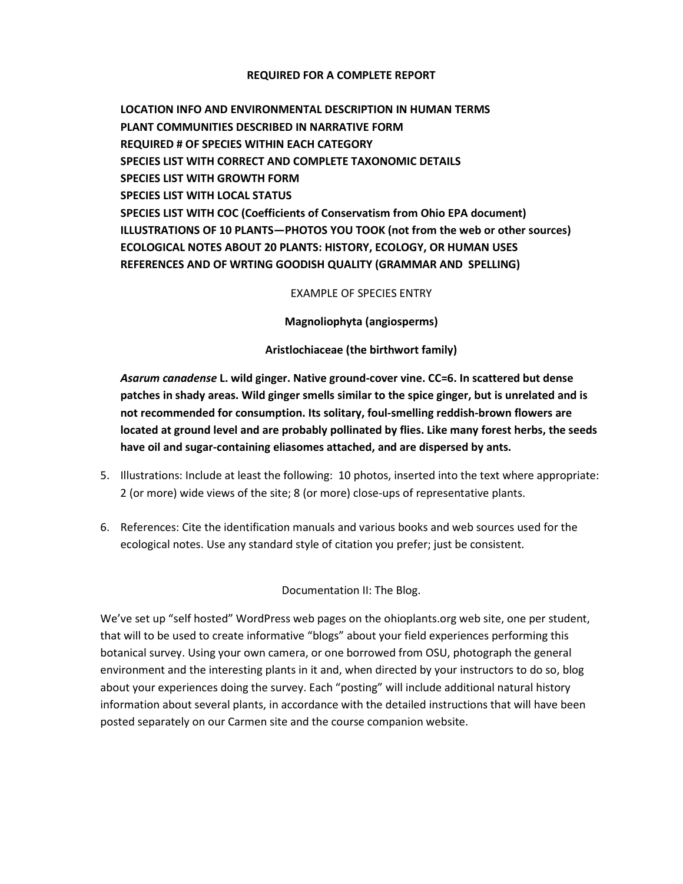#### **REQUIRED FOR A COMPLETE REPORT**

**LOCATION INFO AND ENVIRONMENTAL DESCRIPTION IN HUMAN TERMS PLANT COMMUNITIES DESCRIBED IN NARRATIVE FORM REQUIRED # OF SPECIES WITHIN EACH CATEGORY SPECIES LIST WITH CORRECT AND COMPLETE TAXONOMIC DETAILS SPECIES LIST WITH GROWTH FORM SPECIES LIST WITH LOCAL STATUS SPECIES LIST WITH COC (Coefficients of Conservatism from Ohio EPA document) ILLUSTRATIONS OF 10 PLANTS—PHOTOS YOU TOOK (not from the web or other sources) ECOLOGICAL NOTES ABOUT 20 PLANTS: HISTORY, ECOLOGY, OR HUMAN USES REFERENCES AND OF WRTING GOODISH QUALITY (GRAMMAR AND SPELLING)** 

EXAMPLE OF SPECIES ENTRY

**Magnoliophyta (angiosperms)** 

**Aristlochiaceae (the birthwort family)**

*Asarum canadense* **L. wild ginger. Native ground-cover vine. CC=6. In scattered but dense patches in shady areas. Wild ginger smells similar to the spice ginger, but is unrelated and is not recommended for consumption. Its solitary, foul-smelling reddish-brown flowers are located at ground level and are probably pollinated by flies. Like many forest herbs, the seeds have oil and sugar-containing eliasomes attached, and are dispersed by ants.** 

- 5. Illustrations: Include at least the following: 10 photos, inserted into the text where appropriate: 2 (or more) wide views of the site; 8 (or more) close-ups of representative plants.
- 6. References: Cite the identification manuals and various books and web sources used for the ecological notes. Use any standard style of citation you prefer; just be consistent.

Documentation II: The Blog.

We've set up "self hosted" WordPress web pages on the ohioplants.org web site, one per student, that will to be used to create informative "blogs" about your field experiences performing this botanical survey. Using your own camera, or one borrowed from OSU, photograph the general environment and the interesting plants in it and, when directed by your instructors to do so, blog about your experiences doing the survey. Each "posting" will include additional natural history information about several plants, in accordance with the detailed instructions that will have been posted separately on our Carmen site and the course companion website.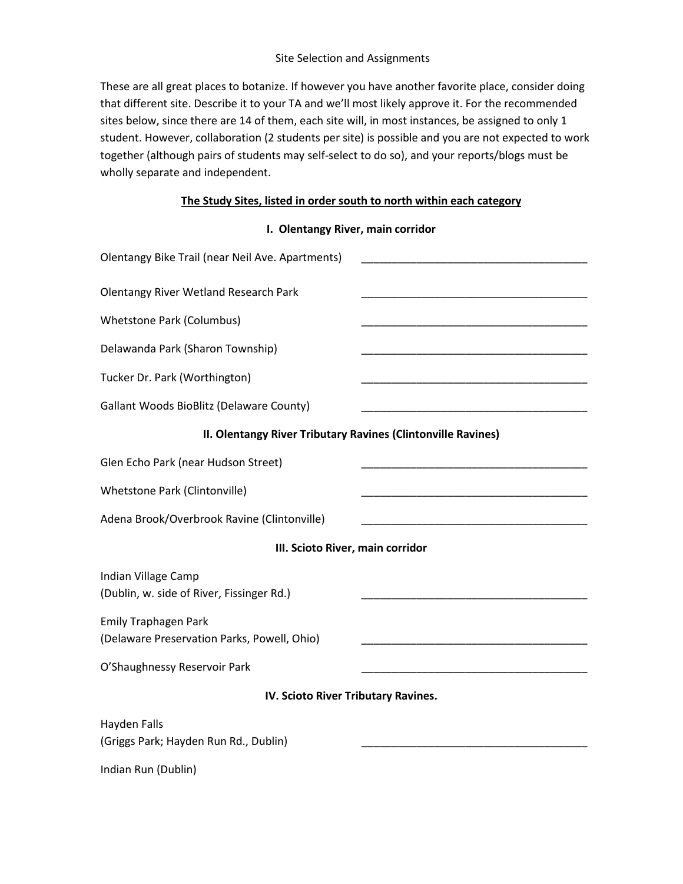## Site Selection and Assignments

These are all great places to botanize. If however you have another favorite place, consider doing that different site. Describe it to your TA and we'll most likely approve it. For the recommended sites below, since there are 14 of them, each site will, in most instances, be assigned to only 1 student. However, collaboration (2 students per site) is possible and you are not expected to work together (although pairs of students may self-select to do so), and your reports/blogs must be wholly separate and independent.

# **The Study Sites, listed in order south to north within each category**

**I. Olentangy River, main corridor**

| Olentangy Bike Trail (near Neil Ave. Apartments)                           |  |
|----------------------------------------------------------------------------|--|
| <b>Olentangy River Wetland Research Park</b>                               |  |
| <b>Whetstone Park (Columbus)</b>                                           |  |
| Delawanda Park (Sharon Township)                                           |  |
| Tucker Dr. Park (Worthington)                                              |  |
| <b>Gallant Woods BioBlitz (Delaware County)</b>                            |  |
| II. Olentangy River Tributary Ravines (Clintonville Ravines)               |  |
| Glen Echo Park (near Hudson Street)                                        |  |
| Whetstone Park (Clintonville)                                              |  |
| Adena Brook/Overbrook Ravine (Clintonville)                                |  |
| III. Scioto River, main corridor                                           |  |
| Indian Village Camp<br>(Dublin, w. side of River, Fissinger Rd.)           |  |
| <b>Emily Traphagen Park</b><br>(Delaware Preservation Parks, Powell, Ohio) |  |
| O'Shaughnessy Reservoir Park                                               |  |
| IV. Scioto River Tributary Ravines.                                        |  |
| <b>Hayden Falls</b><br>(Griggs Park; Hayden Run Rd., Dublin)               |  |
| Indian Run (Dublin)                                                        |  |